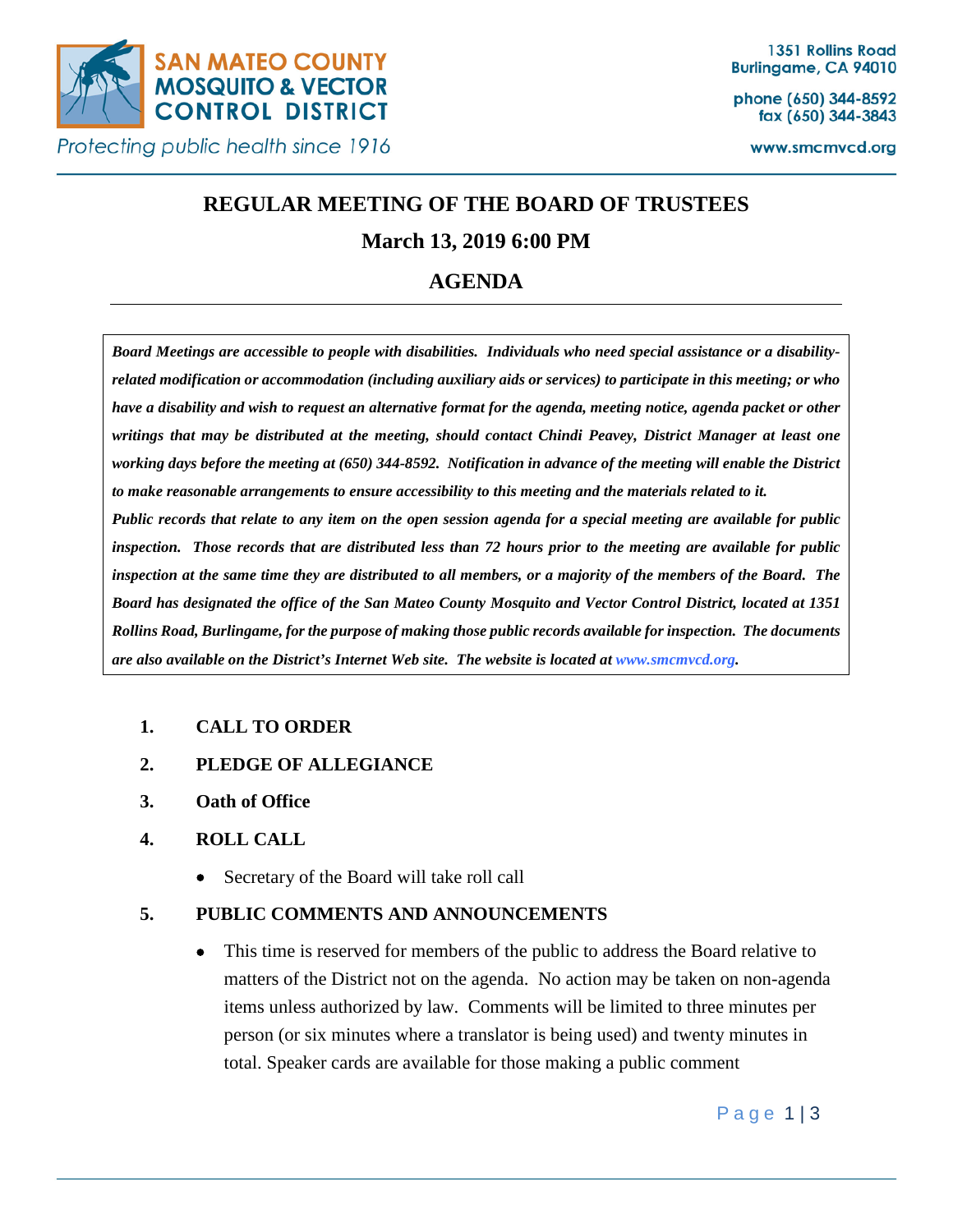

phone (650) 344-8592 fax (650) 344-3843

www.smcmvcd.org

# **REGULAR MEETING OF THE BOARD OF TRUSTEES**

# **March 13, 2019 6:00 PM**

# **AGENDA**

*Board Meetings are accessible to people with disabilities. Individuals who need special assistance or a disabilityrelated modification or accommodation (including auxiliary aids or services) to participate in this meeting; or who have a disability and wish to request an alternative format for the agenda, meeting notice, agenda packet or other writings that may be distributed at the meeting, should contact Chindi Peavey, District Manager at least one working days before the meeting at (650) 344-8592. Notification in advance of the meeting will enable the District to make reasonable arrangements to ensure accessibility to this meeting and the materials related to it. Public records that relate to any item on the open session agenda for a special meeting are available for public inspection. Those records that are distributed less than 72 hours prior to the meeting are available for public inspection at the same time they are distributed to all members, or a majority of the members of the Board. The Board has designated the office of the San Mateo County Mosquito and Vector Control District, located at 1351 Rollins Road, Burlingame, for the purpose of making those public records available for inspection. The documents are also available on the District's Internet Web site. The website is located at www.smcmvcd.org.* 

# **1. CALL TO ORDER**

- **2. PLEDGE OF ALLEGIANCE**
- **3. Oath of Office**

## **4. ROLL CALL**

• Secretary of the Board will take roll call

## **5. PUBLIC COMMENTS AND ANNOUNCEMENTS**

• This time is reserved for members of the public to address the Board relative to matters of the District not on the agenda. No action may be taken on non-agenda items unless authorized by law. Comments will be limited to three minutes per person (or six minutes where a translator is being used) and twenty minutes in total. Speaker cards are available for those making a public comment

Page 1|3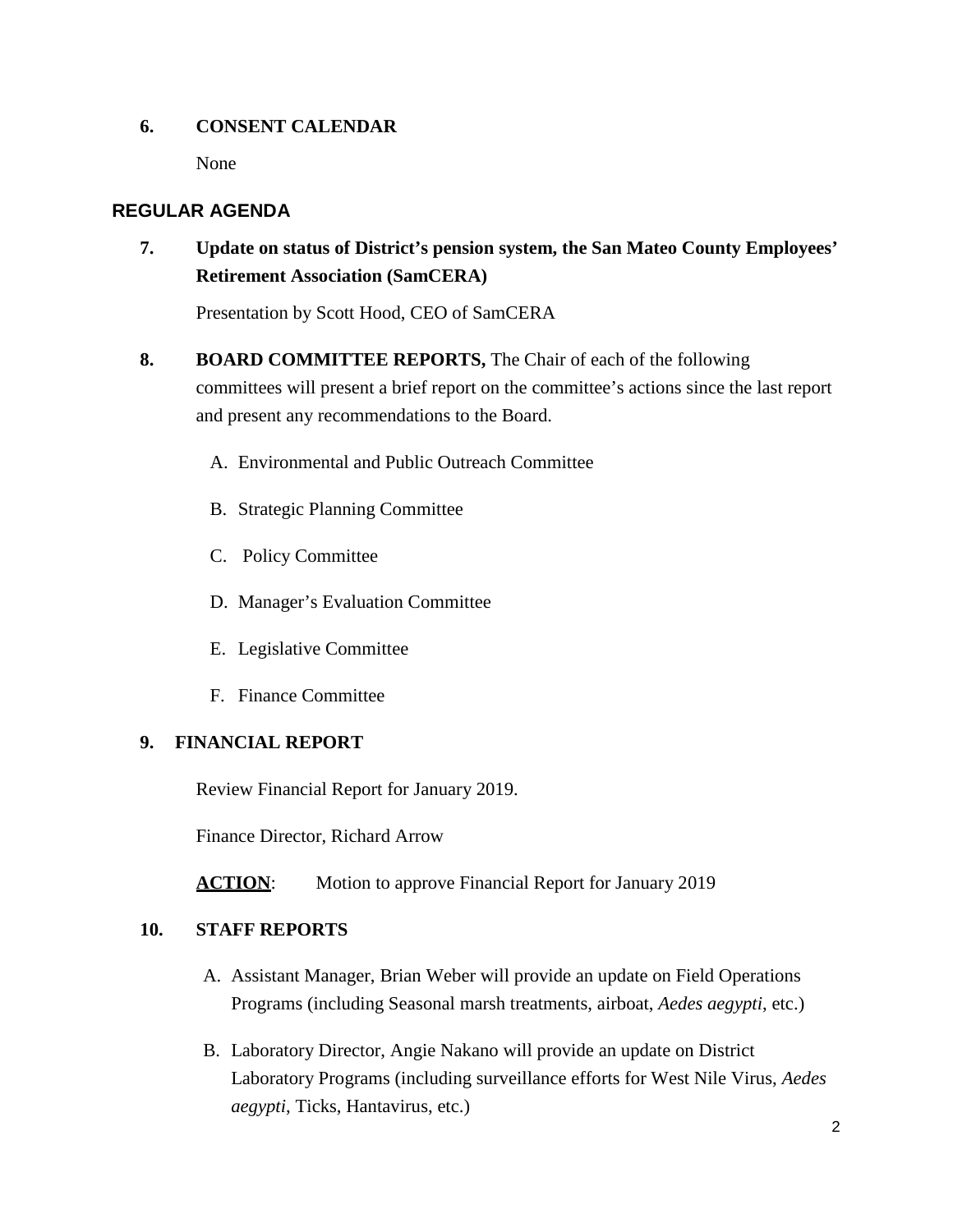#### **6. CONSENT CALENDAR**

None

# **REGULAR AGENDA**

**7. Update on status of District's pension system, the San Mateo County Employees' Retirement Association (SamCERA)** 

Presentation by Scott Hood, CEO of SamCERA

- **8. BOARD COMMITTEE REPORTS,** The Chair of each of the following committees will present a brief report on the committee's actions since the last report and present any recommendations to the Board.
	- A. Environmental and Public Outreach Committee
	- B. Strategic Planning Committee
	- C. Policy Committee
	- D. Manager's Evaluation Committee
	- E. Legislative Committee
	- F. Finance Committee

#### **9. FINANCIAL REPORT**

Review Financial Report for January 2019.

Finance Director, Richard Arrow

**ACTION:** Motion to approve Financial Report for January 2019

## **10. STAFF REPORTS**

- A. Assistant Manager, Brian Weber will provide an update on Field Operations Programs (including Seasonal marsh treatments, airboat, *Aedes aegypti*, etc.)
- B. Laboratory Director, Angie Nakano will provide an update on District Laboratory Programs (including surveillance efforts for West Nile Virus, *Aedes aegypti*, Ticks, Hantavirus, etc.)